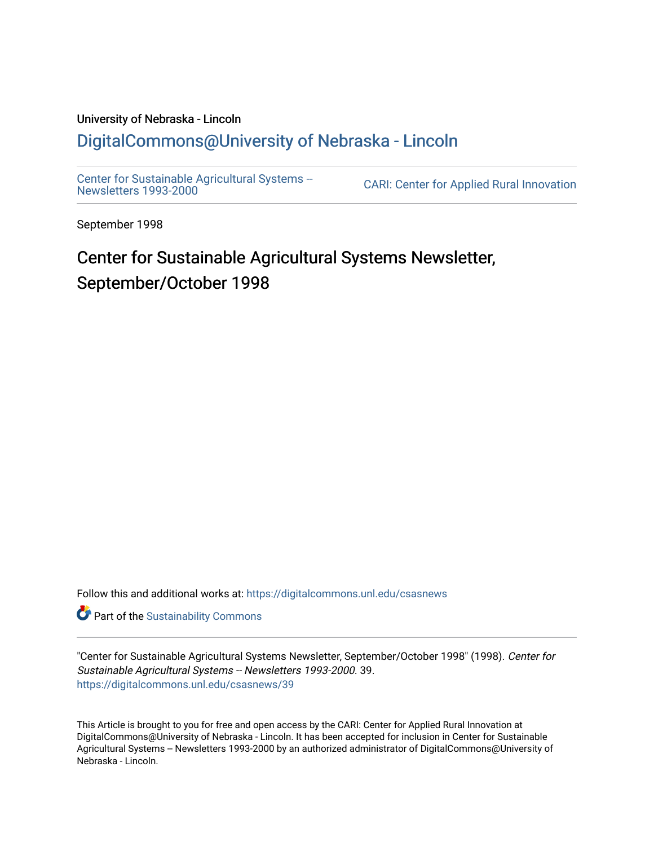#### University of Nebraska - Lincoln [DigitalCommons@University of Nebraska - Lincoln](https://digitalcommons.unl.edu/)

[Center for Sustainable Agricultural Systems --](https://digitalcommons.unl.edu/csasnews)<br>Newsletters 1993-2000

CARI: Center for Applied Rural Innovation

September 1998

# Center for Sustainable Agricultural Systems Newsletter, September/October 1998

Follow this and additional works at: [https://digitalcommons.unl.edu/csasnews](https://digitalcommons.unl.edu/csasnews?utm_source=digitalcommons.unl.edu%2Fcsasnews%2F39&utm_medium=PDF&utm_campaign=PDFCoverPages) 

**Part of the [Sustainability Commons](http://network.bepress.com/hgg/discipline/1031?utm_source=digitalcommons.unl.edu%2Fcsasnews%2F39&utm_medium=PDF&utm_campaign=PDFCoverPages)** 

"Center for Sustainable Agricultural Systems Newsletter, September/October 1998" (1998). Center for Sustainable Agricultural Systems -- Newsletters 1993-2000. 39. [https://digitalcommons.unl.edu/csasnews/39](https://digitalcommons.unl.edu/csasnews/39?utm_source=digitalcommons.unl.edu%2Fcsasnews%2F39&utm_medium=PDF&utm_campaign=PDFCoverPages) 

This Article is brought to you for free and open access by the CARI: Center for Applied Rural Innovation at DigitalCommons@University of Nebraska - Lincoln. It has been accepted for inclusion in Center for Sustainable Agricultural Systems -- Newsletters 1993-2000 by an authorized administrator of DigitalCommons@University of Nebraska - Lincoln.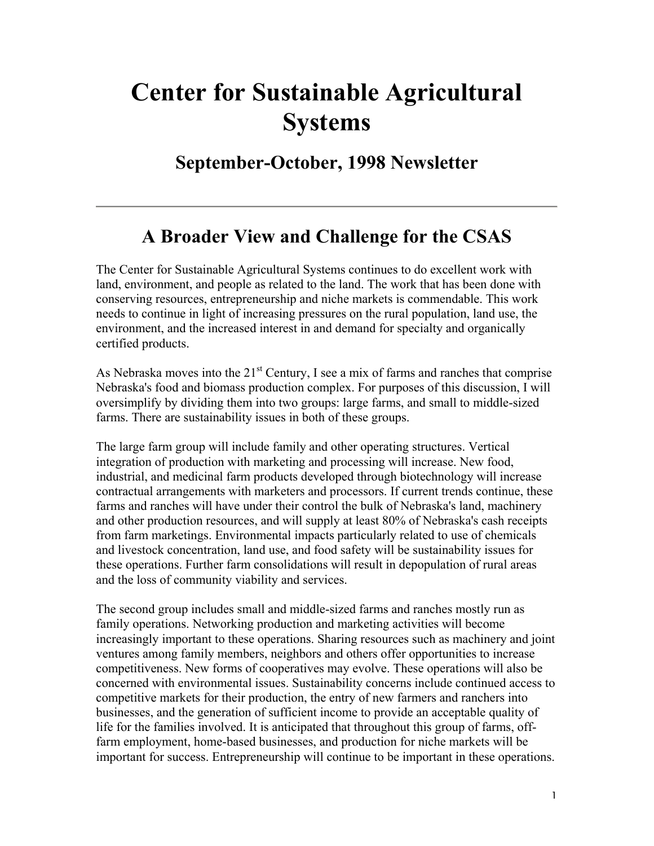# **Center for Sustainable Agricultural Systems**

**September-October, 1998 Newsletter** 

### **A Broader View and Challenge for the CSAS**

The Center for Sustainable Agricultural Systems continues to do excellent work with land, environment, and people as related to the land. The work that has been done with conserving resources, entrepreneurship and niche markets is commendable. This work needs to continue in light of increasing pressures on the rural population, land use, the environment, and the increased interest in and demand for specialty and organically certified products.

As Nebraska moves into the  $21<sup>st</sup>$  Century, I see a mix of farms and ranches that comprise Nebraska's food and biomass production complex. For purposes of this discussion, I will oversimplify by dividing them into two groups: large farms, and small to middle-sized farms. There are sustainability issues in both of these groups.

The large farm group will include family and other operating structures. Vertical integration of production with marketing and processing will increase. New food, industrial, and medicinal farm products developed through biotechnology will increase contractual arrangements with marketers and processors. If current trends continue, these farms and ranches will have under their control the bulk of Nebraska's land, machinery and other production resources, and will supply at least 80% of Nebraska's cash receipts from farm marketings. Environmental impacts particularly related to use of chemicals and livestock concentration, land use, and food safety will be sustainability issues for these operations. Further farm consolidations will result in depopulation of rural areas and the loss of community viability and services.

The second group includes small and middle-sized farms and ranches mostly run as family operations. Networking production and marketing activities will become increasingly important to these operations. Sharing resources such as machinery and joint ventures among family members, neighbors and others offer opportunities to increase competitiveness. New forms of cooperatives may evolve. These operations will also be concerned with environmental issues. Sustainability concerns include continued access to competitive markets for their production, the entry of new farmers and ranchers into businesses, and the generation of sufficient income to provide an acceptable quality of life for the families involved. It is anticipated that throughout this group of farms, offfarm employment, home-based businesses, and production for niche markets will be important for success. Entrepreneurship will continue to be important in these operations.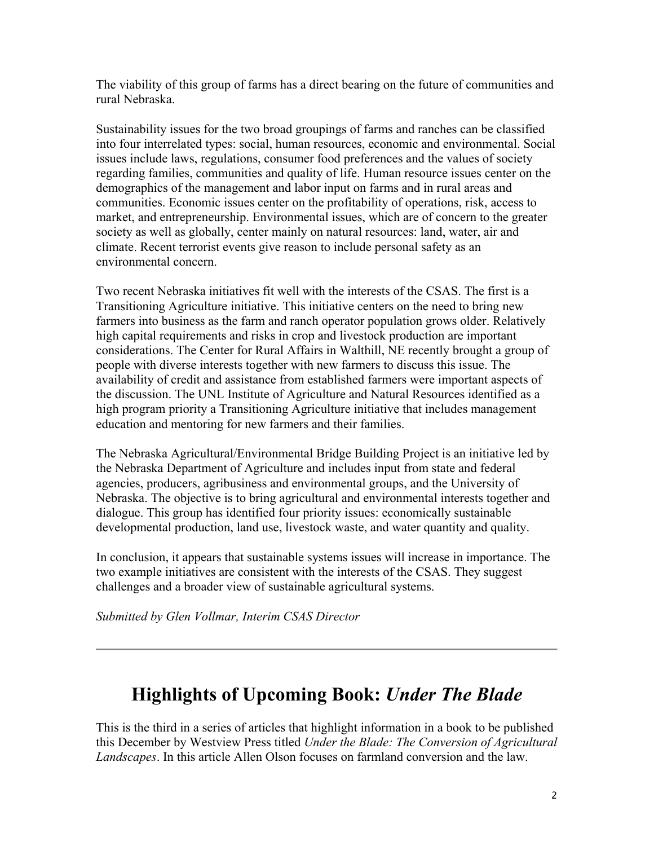The viability of this group of farms has a direct bearing on the future of communities and rural Nebraska.

Sustainability issues for the two broad groupings of farms and ranches can be classified into four interrelated types: social, human resources, economic and environmental. Social issues include laws, regulations, consumer food preferences and the values of society regarding families, communities and quality of life. Human resource issues center on the demographics of the management and labor input on farms and in rural areas and communities. Economic issues center on the profitability of operations, risk, access to market, and entrepreneurship. Environmental issues, which are of concern to the greater society as well as globally, center mainly on natural resources: land, water, air and climate. Recent terrorist events give reason to include personal safety as an environmental concern.

Two recent Nebraska initiatives fit well with the interests of the CSAS. The first is a Transitioning Agriculture initiative. This initiative centers on the need to bring new farmers into business as the farm and ranch operator population grows older. Relatively high capital requirements and risks in crop and livestock production are important considerations. The Center for Rural Affairs in Walthill, NE recently brought a group of people with diverse interests together with new farmers to discuss this issue. The availability of credit and assistance from established farmers were important aspects of the discussion. The UNL Institute of Agriculture and Natural Resources identified as a high program priority a Transitioning Agriculture initiative that includes management education and mentoring for new farmers and their families.

The Nebraska Agricultural/Environmental Bridge Building Project is an initiative led by the Nebraska Department of Agriculture and includes input from state and federal agencies, producers, agribusiness and environmental groups, and the University of Nebraska. The objective is to bring agricultural and environmental interests together and dialogue. This group has identified four priority issues: economically sustainable developmental production, land use, livestock waste, and water quantity and quality.

In conclusion, it appears that sustainable systems issues will increase in importance. The two example initiatives are consistent with the interests of the CSAS. They suggest challenges and a broader view of sustainable agricultural systems.

*Submitted by Glen Vollmar, Interim CSAS Director*

# **Highlights of Upcoming Book:** *Under The Blade*

This is the third in a series of articles that highlight information in a book to be published this December by Westview Press titled *Under the Blade: The Conversion of Agricultural Landscapes*. In this article Allen Olson focuses on farmland conversion and the law.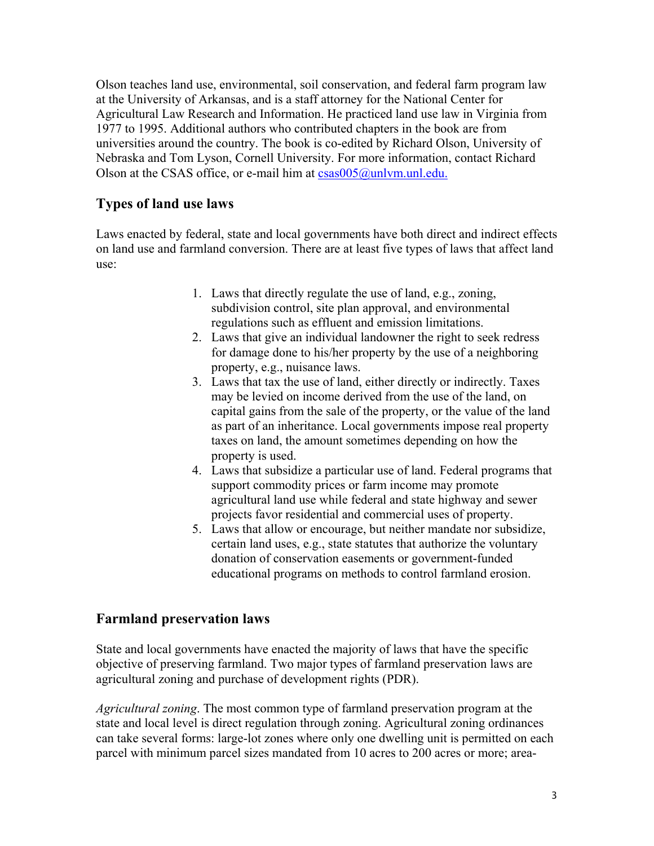Olson teaches land use, environmental, soil conservation, and federal farm program law at the University of Arkansas, and is a staff attorney for the National Center for Agricultural Law Research and Information. He practiced land use law in Virginia from 1977 to 1995. Additional authors who contributed chapters in the book are from universities around the country. The book is co-edited by Richard Olson, University of Nebraska and Tom Lyson, Cornell University. For more information, contact Richard Olson at the CSAS office, or e-mail him at  $csas005@$ unlym.unl.edu.

#### **Types of land use laws**

Laws enacted by federal, state and local governments have both direct and indirect effects on land use and farmland conversion. There are at least five types of laws that affect land use:

- 1. Laws that directly regulate the use of land, e.g., zoning, subdivision control, site plan approval, and environmental regulations such as effluent and emission limitations.
- 2. Laws that give an individual landowner the right to seek redress for damage done to his/her property by the use of a neighboring property, e.g., nuisance laws.
- 3. Laws that tax the use of land, either directly or indirectly. Taxes may be levied on income derived from the use of the land, on capital gains from the sale of the property, or the value of the land as part of an inheritance. Local governments impose real property taxes on land, the amount sometimes depending on how the property is used.
- 4. Laws that subsidize a particular use of land. Federal programs that support commodity prices or farm income may promote agricultural land use while federal and state highway and sewer projects favor residential and commercial uses of property.
- 5. Laws that allow or encourage, but neither mandate nor subsidize, certain land uses, e.g., state statutes that authorize the voluntary donation of conservation easements or government-funded educational programs on methods to control farmland erosion.

#### **Farmland preservation laws**

State and local governments have enacted the majority of laws that have the specific objective of preserving farmland. Two major types of farmland preservation laws are agricultural zoning and purchase of development rights (PDR).

*Agricultural zoning*. The most common type of farmland preservation program at the state and local level is direct regulation through zoning. Agricultural zoning ordinances can take several forms: large-lot zones where only one dwelling unit is permitted on each parcel with minimum parcel sizes mandated from 10 acres to 200 acres or more; area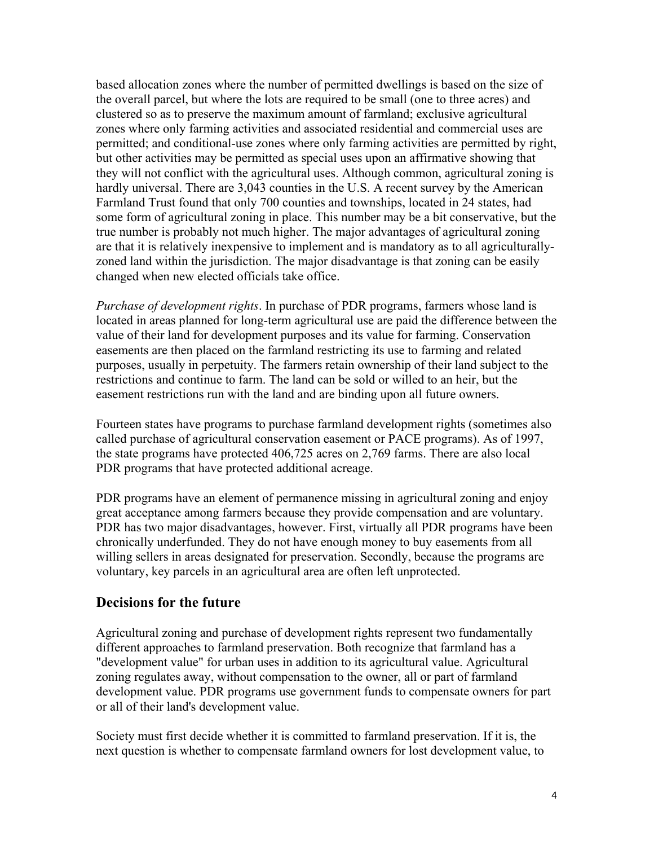based allocation zones where the number of permitted dwellings is based on the size of the overall parcel, but where the lots are required to be small (one to three acres) and clustered so as to preserve the maximum amount of farmland; exclusive agricultural zones where only farming activities and associated residential and commercial uses are permitted; and conditional-use zones where only farming activities are permitted by right, but other activities may be permitted as special uses upon an affirmative showing that they will not conflict with the agricultural uses. Although common, agricultural zoning is hardly universal. There are 3,043 counties in the U.S. A recent survey by the American Farmland Trust found that only 700 counties and townships, located in 24 states, had some form of agricultural zoning in place. This number may be a bit conservative, but the true number is probably not much higher. The major advantages of agricultural zoning are that it is relatively inexpensive to implement and is mandatory as to all agriculturallyzoned land within the jurisdiction. The major disadvantage is that zoning can be easily changed when new elected officials take office.

*Purchase of development rights*. In purchase of PDR programs, farmers whose land is located in areas planned for long-term agricultural use are paid the difference between the value of their land for development purposes and its value for farming. Conservation easements are then placed on the farmland restricting its use to farming and related purposes, usually in perpetuity. The farmers retain ownership of their land subject to the restrictions and continue to farm. The land can be sold or willed to an heir, but the easement restrictions run with the land and are binding upon all future owners.

Fourteen states have programs to purchase farmland development rights (sometimes also called purchase of agricultural conservation easement or PACE programs). As of 1997, the state programs have protected 406,725 acres on 2,769 farms. There are also local PDR programs that have protected additional acreage.

PDR programs have an element of permanence missing in agricultural zoning and enjoy great acceptance among farmers because they provide compensation and are voluntary. PDR has two major disadvantages, however. First, virtually all PDR programs have been chronically underfunded. They do not have enough money to buy easements from all willing sellers in areas designated for preservation. Secondly, because the programs are voluntary, key parcels in an agricultural area are often left unprotected.

#### **Decisions for the future**

Agricultural zoning and purchase of development rights represent two fundamentally different approaches to farmland preservation. Both recognize that farmland has a "development value" for urban uses in addition to its agricultural value. Agricultural zoning regulates away, without compensation to the owner, all or part of farmland development value. PDR programs use government funds to compensate owners for part or all of their land's development value.

Society must first decide whether it is committed to farmland preservation. If it is, the next question is whether to compensate farmland owners for lost development value, to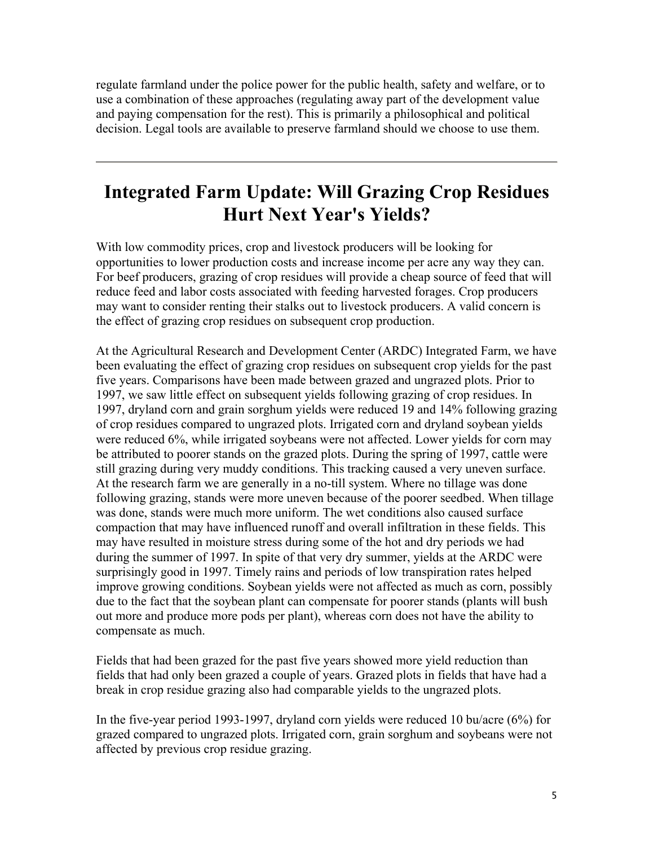regulate farmland under the police power for the public health, safety and welfare, or to use a combination of these approaches (regulating away part of the development value and paying compensation for the rest). This is primarily a philosophical and political decision. Legal tools are available to preserve farmland should we choose to use them.

# **Integrated Farm Update: Will Grazing Crop Residues Hurt Next Year's Yields?**

With low commodity prices, crop and livestock producers will be looking for opportunities to lower production costs and increase income per acre any way they can. For beef producers, grazing of crop residues will provide a cheap source of feed that will reduce feed and labor costs associated with feeding harvested forages. Crop producers may want to consider renting their stalks out to livestock producers. A valid concern is the effect of grazing crop residues on subsequent crop production.

At the Agricultural Research and Development Center (ARDC) Integrated Farm, we have been evaluating the effect of grazing crop residues on subsequent crop yields for the past five years. Comparisons have been made between grazed and ungrazed plots. Prior to 1997, we saw little effect on subsequent yields following grazing of crop residues. In 1997, dryland corn and grain sorghum yields were reduced 19 and 14% following grazing of crop residues compared to ungrazed plots. Irrigated corn and dryland soybean yields were reduced 6%, while irrigated soybeans were not affected. Lower yields for corn may be attributed to poorer stands on the grazed plots. During the spring of 1997, cattle were still grazing during very muddy conditions. This tracking caused a very uneven surface. At the research farm we are generally in a no-till system. Where no tillage was done following grazing, stands were more uneven because of the poorer seedbed. When tillage was done, stands were much more uniform. The wet conditions also caused surface compaction that may have influenced runoff and overall infiltration in these fields. This may have resulted in moisture stress during some of the hot and dry periods we had during the summer of 1997. In spite of that very dry summer, yields at the ARDC were surprisingly good in 1997. Timely rains and periods of low transpiration rates helped improve growing conditions. Soybean yields were not affected as much as corn, possibly due to the fact that the soybean plant can compensate for poorer stands (plants will bush out more and produce more pods per plant), whereas corn does not have the ability to compensate as much.

Fields that had been grazed for the past five years showed more yield reduction than fields that had only been grazed a couple of years. Grazed plots in fields that have had a break in crop residue grazing also had comparable yields to the ungrazed plots.

In the five-year period 1993-1997, dryland corn yields were reduced 10 bu/acre (6%) for grazed compared to ungrazed plots. Irrigated corn, grain sorghum and soybeans were not affected by previous crop residue grazing.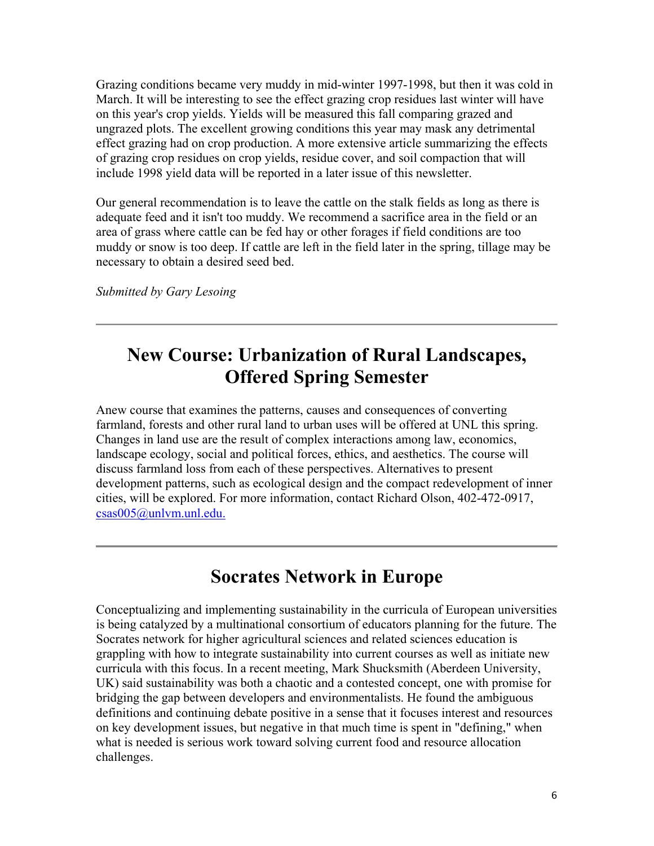Grazing conditions became very muddy in mid-winter 1997-1998, but then it was cold in March. It will be interesting to see the effect grazing crop residues last winter will have on this year's crop yields. Yields will be measured this fall comparing grazed and ungrazed plots. The excellent growing conditions this year may mask any detrimental effect grazing had on crop production. A more extensive article summarizing the effects of grazing crop residues on crop yields, residue cover, and soil compaction that will include 1998 yield data will be reported in a later issue of this newsletter.

Our general recommendation is to leave the cattle on the stalk fields as long as there is adequate feed and it isn't too muddy. We recommend a sacrifice area in the field or an area of grass where cattle can be fed hay or other forages if field conditions are too muddy or snow is too deep. If cattle are left in the field later in the spring, tillage may be necessary to obtain a desired seed bed.

*Submitted by Gary Lesoing*

# **New Course: Urbanization of Rural Landscapes, Offered Spring Semester**

Anew course that examines the patterns, causes and consequences of converting farmland, forests and other rural land to urban uses will be offered at UNL this spring. Changes in land use are the result of complex interactions among law, economics, landscape ecology, social and political forces, ethics, and aesthetics. The course will discuss farmland loss from each of these perspectives. Alternatives to present development patterns, such as ecological design and the compact redevelopment of inner cities, will be explored. For more information, contact Richard Olson, 402-472-0917, csas005@unlvm.unl.edu.

### **Socrates Network in Europe**

Conceptualizing and implementing sustainability in the curricula of European universities is being catalyzed by a multinational consortium of educators planning for the future. The Socrates network for higher agricultural sciences and related sciences education is grappling with how to integrate sustainability into current courses as well as initiate new curricula with this focus. In a recent meeting, Mark Shucksmith (Aberdeen University, UK) said sustainability was both a chaotic and a contested concept, one with promise for bridging the gap between developers and environmentalists. He found the ambiguous definitions and continuing debate positive in a sense that it focuses interest and resources on key development issues, but negative in that much time is spent in "defining," when what is needed is serious work toward solving current food and resource allocation challenges.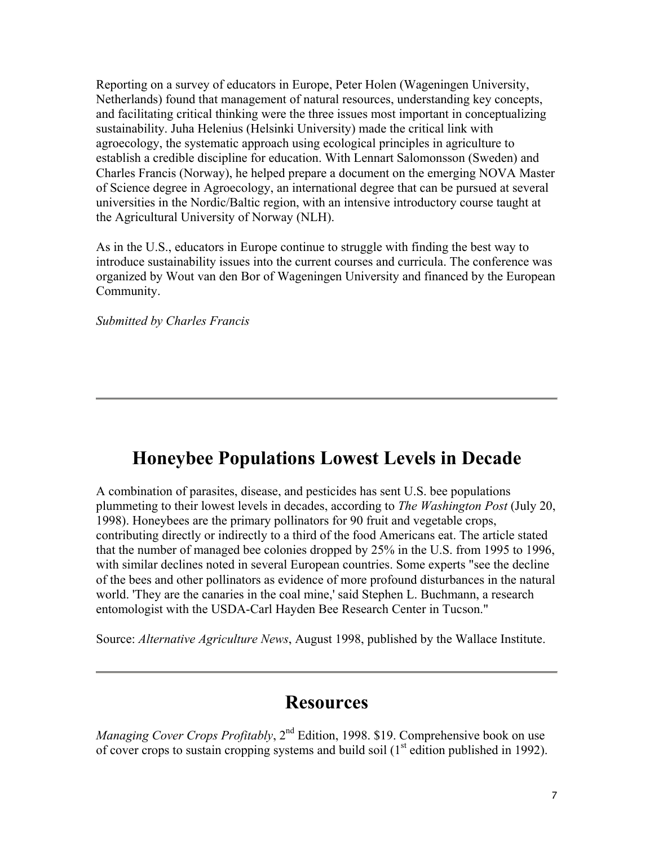Reporting on a survey of educators in Europe, Peter Holen (Wageningen University, Netherlands) found that management of natural resources, understanding key concepts, and facilitating critical thinking were the three issues most important in conceptualizing sustainability. Juha Helenius (Helsinki University) made the critical link with agroecology, the systematic approach using ecological principles in agriculture to establish a credible discipline for education. With Lennart Salomonsson (Sweden) and Charles Francis (Norway), he helped prepare a document on the emerging NOVA Master of Science degree in Agroecology, an international degree that can be pursued at several universities in the Nordic/Baltic region, with an intensive introductory course taught at the Agricultural University of Norway (NLH).

As in the U.S., educators in Europe continue to struggle with finding the best way to introduce sustainability issues into the current courses and curricula. The conference was organized by Wout van den Bor of Wageningen University and financed by the European Community.

*Submitted by Charles Francis*

### **Honeybee Populations Lowest Levels in Decade**

A combination of parasites, disease, and pesticides has sent U.S. bee populations plummeting to their lowest levels in decades, according to *The Washington Post* (July 20, 1998). Honeybees are the primary pollinators for 90 fruit and vegetable crops, contributing directly or indirectly to a third of the food Americans eat. The article stated that the number of managed bee colonies dropped by 25% in the U.S. from 1995 to 1996, with similar declines noted in several European countries. Some experts "see the decline of the bees and other pollinators as evidence of more profound disturbances in the natural world. 'They are the canaries in the coal mine,' said Stephen L. Buchmann, a research entomologist with the USDA-Carl Hayden Bee Research Center in Tucson."

Source: *Alternative Agriculture News*, August 1998, published by the Wallace Institute.

#### **Resources**

*Managing Cover Crops Profitably*, 2<sup>nd</sup> Edition, 1998. \$19. Comprehensive book on use of cover crops to sustain cropping systems and build soil  $(1<sup>st</sup>$  edition published in 1992).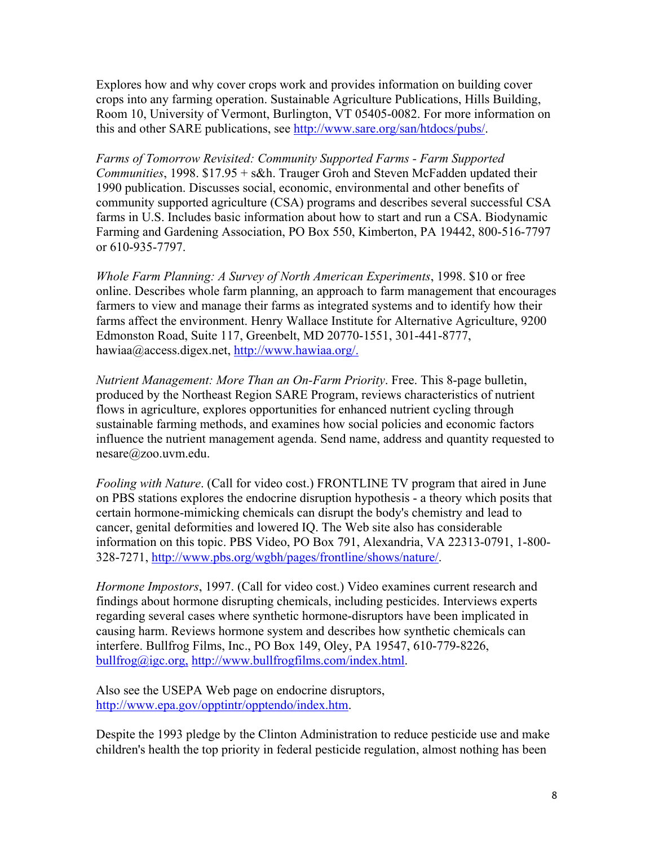Explores how and why cover crops work and provides information on building cover crops into any farming operation. Sustainable Agriculture Publications, Hills Building, Room 10, University of Vermont, Burlington, VT 05405-0082. For more information on this and other SARE publications, see http://www.sare.org/san/htdocs/pubs/.

*Farms of Tomorrow Revisited: Community Supported Farms - Farm Supported Communities*, 1998. \$17.95 + s&h. Trauger Groh and Steven McFadden updated their 1990 publication. Discusses social, economic, environmental and other benefits of community supported agriculture (CSA) programs and describes several successful CSA farms in U.S. Includes basic information about how to start and run a CSA. Biodynamic Farming and Gardening Association, PO Box 550, Kimberton, PA 19442, 800-516-7797 or 610-935-7797.

*Whole Farm Planning: A Survey of North American Experiments*, 1998. \$10 or free online. Describes whole farm planning, an approach to farm management that encourages farmers to view and manage their farms as integrated systems and to identify how their farms affect the environment. Henry Wallace Institute for Alternative Agriculture, 9200 Edmonston Road, Suite 117, Greenbelt, MD 20770-1551, 301-441-8777, hawiaa@access.digex.net, http://www.hawiaa.org/.

*Nutrient Management: More Than an On-Farm Priority*. Free. This 8-page bulletin, produced by the Northeast Region SARE Program, reviews characteristics of nutrient flows in agriculture, explores opportunities for enhanced nutrient cycling through sustainable farming methods, and examines how social policies and economic factors influence the nutrient management agenda. Send name, address and quantity requested to nesare@zoo.uvm.edu.

*Fooling with Nature*. (Call for video cost.) FRONTLINE TV program that aired in June on PBS stations explores the endocrine disruption hypothesis - a theory which posits that certain hormone-mimicking chemicals can disrupt the body's chemistry and lead to cancer, genital deformities and lowered IQ. The Web site also has considerable information on this topic. PBS Video, PO Box 791, Alexandria, VA 22313-0791, 1-800- 328-7271, http://www.pbs.org/wgbh/pages/frontline/shows/nature/.

*Hormone Impostors*, 1997. (Call for video cost.) Video examines current research and findings about hormone disrupting chemicals, including pesticides. Interviews experts regarding several cases where synthetic hormone-disruptors have been implicated in causing harm. Reviews hormone system and describes how synthetic chemicals can interfere. Bullfrog Films, Inc., PO Box 149, Oley, PA 19547, 610-779-8226, bullfrog@igc.org, http://www.bullfrogfilms.com/index.html.

Also see the USEPA Web page on endocrine disruptors, http://www.epa.gov/opptintr/opptendo/index.htm.

Despite the 1993 pledge by the Clinton Administration to reduce pesticide use and make children's health the top priority in federal pesticide regulation, almost nothing has been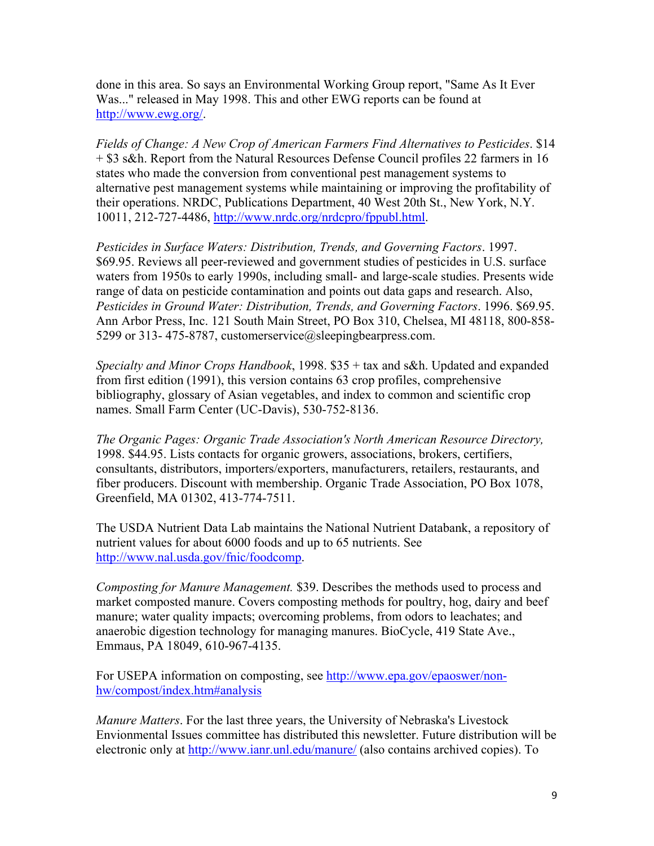done in this area. So says an Environmental Working Group report, "Same As It Ever Was..." released in May 1998. This and other EWG reports can be found at http://www.ewg.org/.

*Fields of Change: A New Crop of American Farmers Find Alternatives to Pesticides*. \$14 + \$3 s&h. Report from the Natural Resources Defense Council profiles 22 farmers in 16 states who made the conversion from conventional pest management systems to alternative pest management systems while maintaining or improving the profitability of their operations. NRDC, Publications Department, 40 West 20th St., New York, N.Y. 10011, 212-727-4486, http://www.nrdc.org/nrdcpro/fppubl.html.

*Pesticides in Surface Waters: Distribution, Trends, and Governing Factors*. 1997. \$69.95. Reviews all peer-reviewed and government studies of pesticides in U.S. surface waters from 1950s to early 1990s, including small- and large-scale studies. Presents wide range of data on pesticide contamination and points out data gaps and research. Also, *Pesticides in Ground Water: Distribution, Trends, and Governing Factors*. 1996. \$69.95. Ann Arbor Press, Inc. 121 South Main Street, PO Box 310, Chelsea, MI 48118, 800-858- 5299 or 313-475-8787, customerservice@sleepingbearpress.com.

*Specialty and Minor Crops Handbook*, 1998. \$35 + tax and s&h. Updated and expanded from first edition (1991), this version contains 63 crop profiles, comprehensive bibliography, glossary of Asian vegetables, and index to common and scientific crop names. Small Farm Center (UC-Davis), 530-752-8136.

*The Organic Pages: Organic Trade Association's North American Resource Directory,* 1998. \$44.95. Lists contacts for organic growers, associations, brokers, certifiers, consultants, distributors, importers/exporters, manufacturers, retailers, restaurants, and fiber producers. Discount with membership. Organic Trade Association, PO Box 1078, Greenfield, MA 01302, 413-774-7511.

The USDA Nutrient Data Lab maintains the National Nutrient Databank, a repository of nutrient values for about 6000 foods and up to 65 nutrients. See http://www.nal.usda.gov/fnic/foodcomp.

*Composting for Manure Management.* \$39. Describes the methods used to process and market composted manure. Covers composting methods for poultry, hog, dairy and beef manure; water quality impacts; overcoming problems, from odors to leachates; and anaerobic digestion technology for managing manures. BioCycle, 419 State Ave., Emmaus, PA 18049, 610-967-4135.

For USEPA information on composting, see http://www.epa.gov/epaoswer/nonhw/compost/index.htm#analysis

*Manure Matters*. For the last three years, the University of Nebraska's Livestock Envionmental Issues committee has distributed this newsletter. Future distribution will be electronic only at http://www.ianr.unl.edu/manure/ (also contains archived copies). To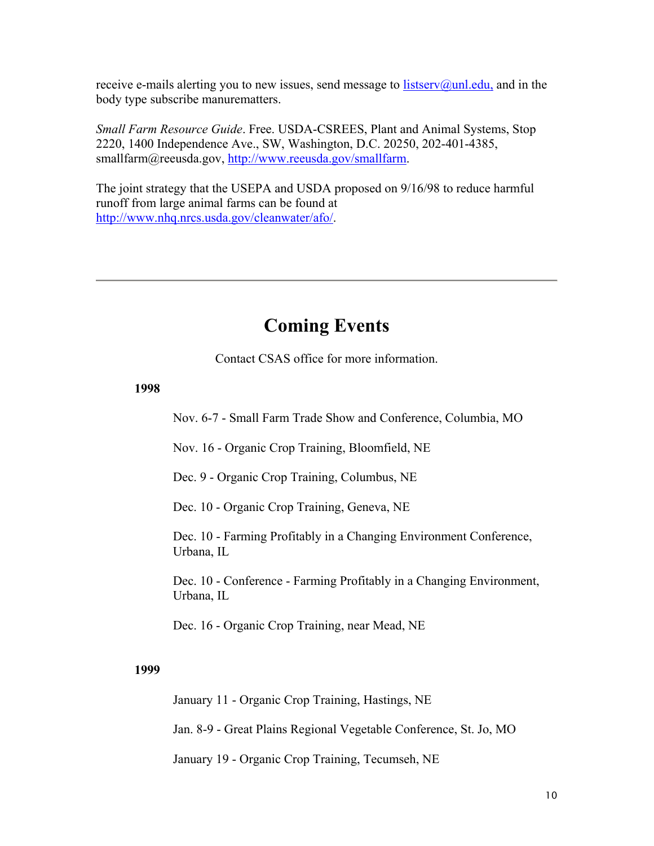receive e-mails alerting you to new issues, send message to  $listserv@unl.edu$ , and in the body type subscribe manurematters.

*Small Farm Resource Guide*. Free. USDA-CSREES, Plant and Animal Systems, Stop 2220, 1400 Independence Ave., SW, Washington, D.C. 20250, 202-401-4385, smallfarm@reeusda.gov, http://www.reeusda.gov/smallfarm.

The joint strategy that the USEPA and USDA proposed on 9/16/98 to reduce harmful runoff from large animal farms can be found at http://www.nhq.nrcs.usda.gov/cleanwater/afo/.

### **Coming Events**

Contact CSAS office for more information.

#### **1998**

Nov. 6-7 - Small Farm Trade Show and Conference, Columbia, MO

Nov. 16 - Organic Crop Training, Bloomfield, NE

Dec. 9 - Organic Crop Training, Columbus, NE

Dec. 10 - Organic Crop Training, Geneva, NE

Dec. 10 - Farming Profitably in a Changing Environment Conference, Urbana, IL

Dec. 10 - Conference - Farming Profitably in a Changing Environment, Urbana, IL

Dec. 16 - Organic Crop Training, near Mead, NE

#### **1999**

January 11 - Organic Crop Training, Hastings, NE

Jan. 8-9 - Great Plains Regional Vegetable Conference, St. Jo, MO

January 19 - Organic Crop Training, Tecumseh, NE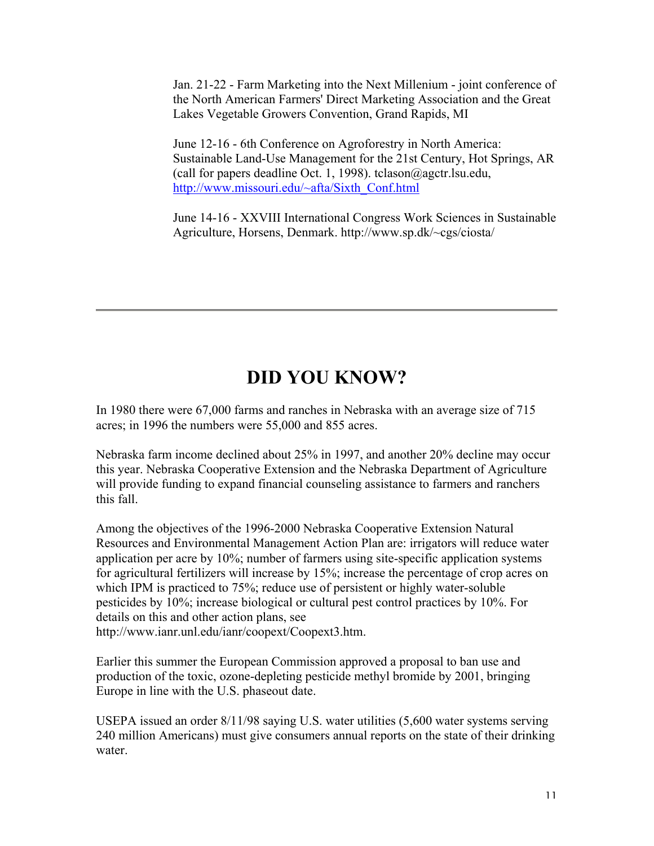Jan. 21-22 - Farm Marketing into the Next Millenium - joint conference of the North American Farmers' Direct Marketing Association and the Great Lakes Vegetable Growers Convention, Grand Rapids, MI

June 12-16 - 6th Conference on Agroforestry in North America: Sustainable Land-Use Management for the 21st Century, Hot Springs, AR (call for papers deadline Oct. 1, 1998). tclason@agctr.lsu.edu, http://www.missouri.edu/~afta/Sixth\_Conf.html

June 14-16 - XXVIII International Congress Work Sciences in Sustainable Agriculture, Horsens, Denmark. http://www.sp.dk/~cgs/ciosta/

# **DID YOU KNOW?**

In 1980 there were 67,000 farms and ranches in Nebraska with an average size of 715 acres; in 1996 the numbers were 55,000 and 855 acres.

Nebraska farm income declined about 25% in 1997, and another 20% decline may occur this year. Nebraska Cooperative Extension and the Nebraska Department of Agriculture will provide funding to expand financial counseling assistance to farmers and ranchers this fall.

Among the objectives of the 1996-2000 Nebraska Cooperative Extension Natural Resources and Environmental Management Action Plan are: irrigators will reduce water application per acre by 10%; number of farmers using site-specific application systems for agricultural fertilizers will increase by 15%; increase the percentage of crop acres on which IPM is practiced to 75%; reduce use of persistent or highly water-soluble pesticides by 10%; increase biological or cultural pest control practices by 10%. For details on this and other action plans, see http://www.ianr.unl.edu/ianr/coopext/Coopext3.htm.

Earlier this summer the European Commission approved a proposal to ban use and

production of the toxic, ozone-depleting pesticide methyl bromide by 2001, bringing Europe in line with the U.S. phaseout date.

USEPA issued an order 8/11/98 saying U.S. water utilities (5,600 water systems serving 240 million Americans) must give consumers annual reports on the state of their drinking water.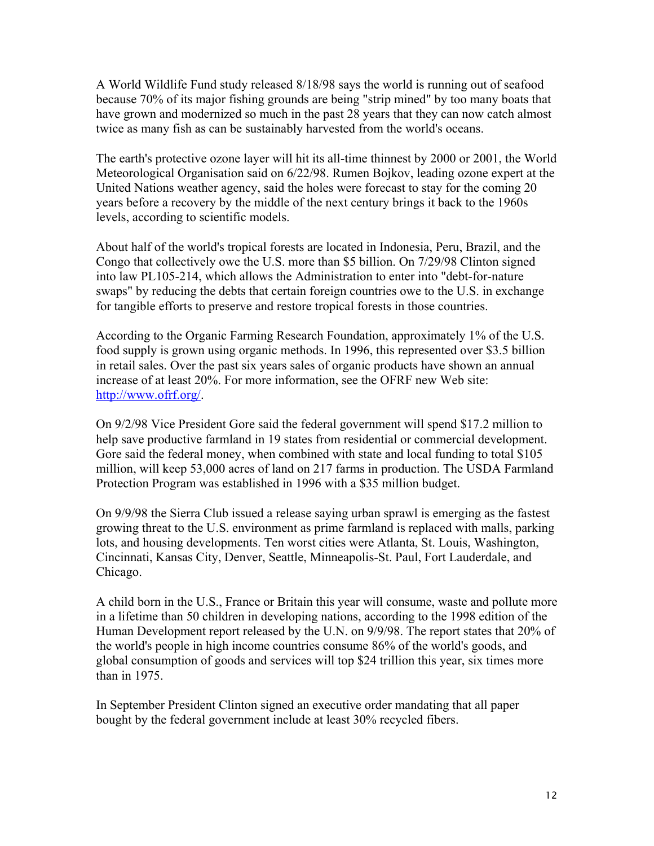A World Wildlife Fund study released 8/18/98 says the world is running out of seafood because 70% of its major fishing grounds are being "strip mined" by too many boats that have grown and modernized so much in the past 28 years that they can now catch almost twice as many fish as can be sustainably harvested from the world's oceans.

The earth's protective ozone layer will hit its all-time thinnest by 2000 or 2001, the World Meteorological Organisation said on 6/22/98. Rumen Bojkov, leading ozone expert at the United Nations weather agency, said the holes were forecast to stay for the coming 20 years before a recovery by the middle of the next century brings it back to the 1960s levels, according to scientific models.

About half of the world's tropical forests are located in Indonesia, Peru, Brazil, and the Congo that collectively owe the U.S. more than \$5 billion. On 7/29/98 Clinton signed into law PL105-214, which allows the Administration to enter into "debt-for-nature swaps" by reducing the debts that certain foreign countries owe to the U.S. in exchange for tangible efforts to preserve and restore tropical forests in those countries.

According to the Organic Farming Research Foundation, approximately 1% of the U.S. food supply is grown using organic methods. In 1996, this represented over \$3.5 billion in retail sales. Over the past six years sales of organic products have shown an annual increase of at least 20%. For more information, see the OFRF new Web site: http://www.ofrf.org/.

On 9/2/98 Vice President Gore said the federal government will spend \$17.2 million to help save productive farmland in 19 states from residential or commercial development. Gore said the federal money, when combined with state and local funding to total \$105 million, will keep 53,000 acres of land on 217 farms in production. The USDA Farmland Protection Program was established in 1996 with a \$35 million budget.

On 9/9/98 the Sierra Club issued a release saying urban sprawl is emerging as the fastest growing threat to the U.S. environment as prime farmland is replaced with malls, parking lots, and housing developments. Ten worst cities were Atlanta, St. Louis, Washington, Cincinnati, Kansas City, Denver, Seattle, Minneapolis-St. Paul, Fort Lauderdale, and Chicago.

A child born in the U.S., France or Britain this year will consume, waste and pollute more in a lifetime than 50 children in developing nations, according to the 1998 edition of the Human Development report released by the U.N. on 9/9/98. The report states that 20% of the world's people in high income countries consume 86% of the world's goods, and global consumption of goods and services will top \$24 trillion this year, six times more than in 1975.

In September President Clinton signed an executive order mandating that all paper bought by the federal government include at least 30% recycled fibers.